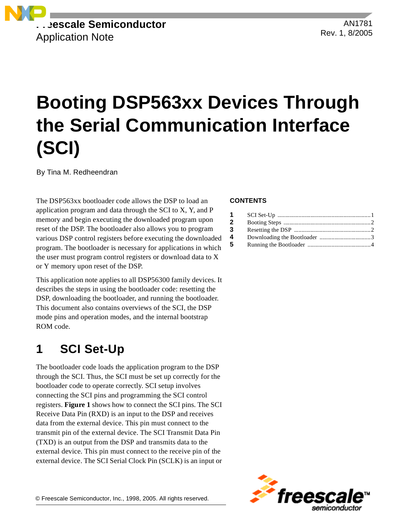

AN1781 Rev. 1, 8/2005

# **Booting DSP563xx Devices Through the Serial Communication Interface (SCI)**

By Tina M. Redheendran

The DSP563xx bootloader code allows the DSP to load an application program and data through the SCI to X, Y, and P memory and begin executing the downloaded program upon reset of the DSP. The bootloader also allows you to program various DSP control registers before executing the downloaded program. The bootloader is necessary for applications in which the user must program control registers or download data to X or Y memory upon reset of the DSP.

This application note applies to all DSP56300 family devices. It describes the steps in using the bootloader code: resetting the DSP, downloading the bootloader, and running the bootloader. This document also contains overviews of the SCI, the DSP mode pins and operation modes, and the internal bootstrap ROM code.

# **1 SCI Set-Up**

The bootloader code loads the application program to the DSP through the SCI. Thus, the SCI must be set up correctly for the bootloader code to operate correctly. SCI setup involves connecting the SCI pins and programming the SCI control registers. **[Figure 1](#page-1-0)** shows how to connect the SCI pins. The SCI Receive Data Pin (RXD) is an input to the DSP and receives data from the external device. This pin must connect to the transmit pin of the external device. The SCI Transmit Data Pin (TXD) is an output from the DSP and transmits data to the external device. This pin must connect to the receive pin of the external device. The SCI Serial Clock Pin (SCLK) is an input or

### **CONTENTS**

| $1 \quad$ |  |
|-----------|--|
| 2         |  |
| 3         |  |
| 4         |  |
| 5         |  |

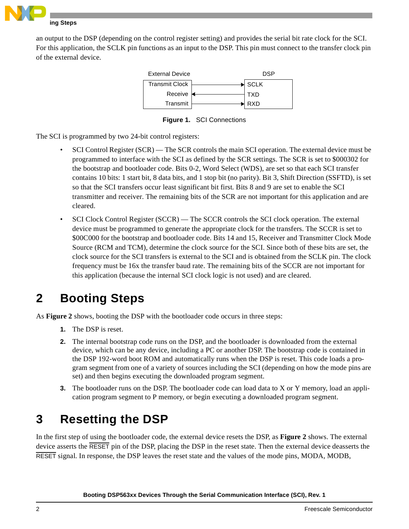

### **Booting Steps**

an output to the DSP (depending on the control register setting) and provides the serial bit rate clock for the SCI. For this application, the SCLK pin functions as an input to the DSP. This pin must connect to the transfer clock pin of the external device.



**Figure 1.** SCI Connections

<span id="page-1-0"></span>The SCI is programmed by two 24-bit control registers:

- SCI Control Register (SCR) The SCR controls the main SCI operation. The external device must be programmed to interface with the SCI as defined by the SCR settings. The SCR is set to \$000302 for the bootstrap and bootloader code. Bits 0-2, Word Select (WDS), are set so that each SCI transfer contains 10 bits: 1 start bit, 8 data bits, and 1 stop bit (no parity). Bit 3, Shift Direction (SSFTD), is set so that the SCI transfers occur least significant bit first. Bits 8 and 9 are set to enable the SCI transmitter and receiver. The remaining bits of the SCR are not important for this application and are cleared.
- SCI Clock Control Register (SCCR) The SCCR controls the SCI clock operation. The external device must be programmed to generate the appropriate clock for the transfers. The SCCR is set to \$00C000 for the bootstrap and bootloader code. Bits 14 and 15, Receiver and Transmitter Clock Mode Source (RCM and TCM), determine the clock source for the SCI. Since both of these bits are set, the clock source for the SCI transfers is external to the SCI and is obtained from the SCLK pin. The clock frequency must be 16x the transfer baud rate. The remaining bits of the SCCR are not important for this application (because the internal SCI clock logic is not used) and are cleared.

# **2 Booting Steps**

As **[Figure 2](#page-2-0)** shows, booting the DSP with the bootloader code occurs in three steps:

- **1.** The DSP is reset.
- **2.** The internal bootstrap code runs on the DSP, and the bootloader is downloaded from the external device, which can be any device, including a PC or another DSP. The bootstrap code is contained in the DSP 192-word boot ROM and automatically runs when the DSP is reset. This code loads a program segment from one of a variety of sources including the SCI (depending on how the mode pins are set) and then begins executing the downloaded program segment.
- **3.** The bootloader runs on the DSP. The bootloader code can load data to X or Y memory, load an application program segment to P memory, or begin executing a downloaded program segment.

# <span id="page-1-1"></span>**3 Resetting the DSP**

In the first step of using the bootloader code, the external device resets the DSP, as **[Figure 2](#page-2-0)** shows. The external device asserts the RESET pin of the DSP, placing the DSP in the reset state. Then the external device deasserts the RESET signal. In response, the DSP leaves the reset state and the values of the mode pins, MODA, MODB,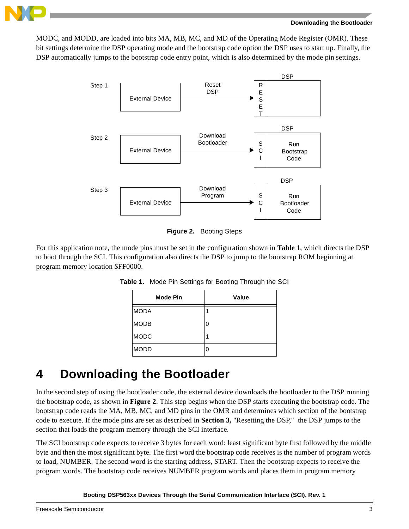

MODC, and MODD, are loaded into bits MA, MB, MC, and MD of the Operating Mode Register (OMR). These bit settings determine the DSP operating mode and the bootstrap code option the DSP uses to start up. Finally, the DSP automatically jumps to the bootstrap code entry point, which is also determined by the mode pin settings.



**Figure 2.** Booting Steps

<span id="page-2-1"></span><span id="page-2-0"></span>For this application note, the mode pins must be set in the configuration shown in **[Table 1](#page-2-1)**, which directs the DSP to boot through the SCI. This configuration also directs the DSP to jump to the bootstrap ROM beginning at program memory location \$FF0000.

| <b>Mode Pin</b> | <b>Value</b> |
|-----------------|--------------|
| <b>MODA</b>     |              |
| <b>MODB</b>     |              |
| <b>MODC</b>     |              |
| <b>MODD</b>     |              |

**Table 1.** Mode Pin Settings for Booting Through the SCI

# **4 Downloading the Bootloader**

In the second step of using the bootloader code, the external device downloads the bootloader to the DSP running the bootstrap code, as shown in **[Figure 2](#page-2-0)**. This step begins when the DSP starts executing the bootstrap code. The bootstrap code reads the MA, MB, MC, and MD pins in the OMR and determines which section of the bootstrap code to execute. If the mode pins are set as described in **Section 3,** ["Resetting the DSP,"](#page-1-1) the DSP jumps to the section that loads the program memory through the SCI interface.

The SCI bootstrap code expects to receive 3 bytes for each word: least significant byte first followed by the middle byte and then the most significant byte. The first word the bootstrap code receives is the number of program words to load, NUMBER. The second word is the starting address, START. Then the bootstrap expects to receive the program words. The bootstrap code receives NUMBER program words and places them in program memory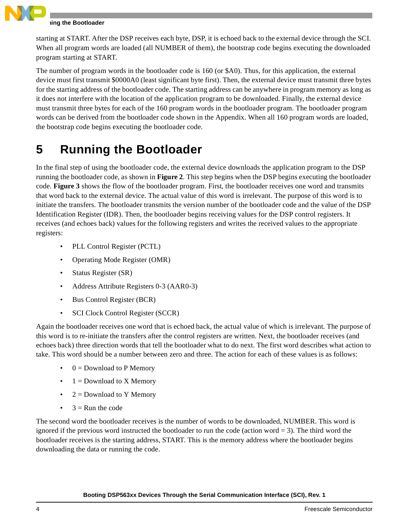starting at START. After the DSP receives each byte, DSP, it is echoed back to the external device through the SCI. When all program words are loaded (all NUMBER of them), the bootstrap code begins executing the downloaded program starting at START.

The number of program words in the bootloader code is 160 (or \$A0). Thus, for this application, the external device must first transmit \$0000A0 (least significant byte first). Then, the external device must transmit three bytes for the starting address of the bootloader code. The starting address can be anywhere in program memory as long as it does not interfere with the location of the application program to be downloaded. Finally, the external device must transmit three bytes for each of the 160 program words in the bootloader program. The bootloader program words can be derived from the bootloader code shown in the Appendix. When all 160 program words are loaded, the bootstrap code begins executing the bootloader code.

# **5 Running the Bootloader**

In the final step of using the bootloader code, the external device downloads the application program to the DSP running the bootloader code, as shown in **[Figure 2](#page-2-0)**. This step begins when the DSP begins executing the bootloader code. **[Figure 3](#page-4-0)** shows the flow of the bootloader program. First, the bootloader receives one word and transmits that word back to the external device. The actual value of this word is irrelevant. The purpose of this word is to initiate the transfers. The bootloader transmits the version number of the bootloader code and the value of the DSP Identification Register (IDR). Then, the bootloader begins receiving values for the DSP control registers. It receives (and echoes back) values for the following registers and writes the received values to the appropriate registers:

- PLL Control Register (PCTL)
- Operating Mode Register (OMR)
- Status Register (SR)
- Address Attribute Registers 0-3 (AAR0-3)
- Bus Control Register (BCR)
- SCI Clock Control Register (SCCR)

Again the bootloader receives one word that is echoed back, the actual value of which is irrelevant. The purpose of this word is to re-initiate the transfers after the control registers are written. Next, the bootloader receives (and echoes back) three direction words that tell the bootloader what to do next. The first word describes what action to take. This word should be a number between zero and three. The action for each of these values is as follows:

- $0 =$  Download to P Memory
- $\bullet$  1 = Download to X Memory
- $2 =$  Download to Y Memory
- $3 =$  Run the code

The second word the bootloader receives is the number of words to be downloaded, NUMBER. This word is ignored if the previous word instructed the bootloader to run the code (action word  $= 3$ ). The third word the bootloader receives is the starting address, START. This is the memory address where the bootloader begins downloading the data or running the code.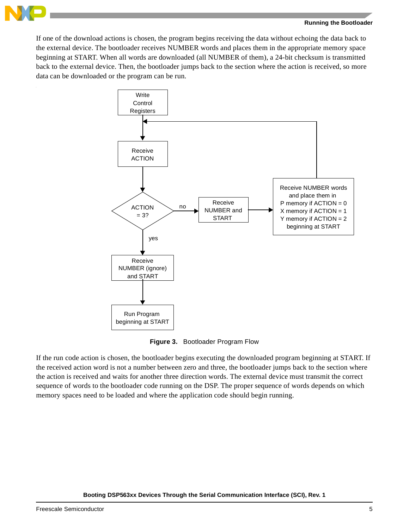

If one of the download actions is chosen, the program begins receiving the data without echoing the data back to the external device. The bootloader receives NUMBER words and places them in the appropriate memory space beginning at START. When all words are downloaded (all NUMBER of them), a 24-bit checksum is transmitted back to the external device. Then, the bootloader jumps back to the section where the action is received, so more data can be downloaded or the program can be run.



**Figure 3.** Bootloader Program Flow

<span id="page-4-0"></span>If the run code action is chosen, the bootloader begins executing the downloaded program beginning at START. If the received action word is not a number between zero and three, the bootloader jumps back to the section where the action is received and waits for another three direction words. The external device must transmit the correct sequence of words to the bootloader code running on the DSP. The proper sequence of words depends on which memory spaces need to be loaded and where the application code should begin running.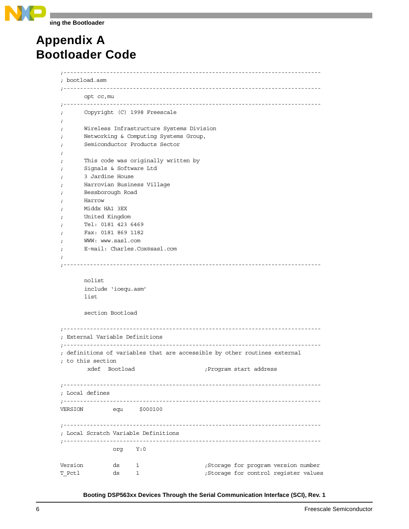N

 $\blacksquare$ 

# **Appendix A Bootloader Code**

| ; bootload.asm       |                                                                                              |              |                                          |                                                                           |  |  |  |
|----------------------|----------------------------------------------------------------------------------------------|--------------|------------------------------------------|---------------------------------------------------------------------------|--|--|--|
|                      | opt cc,mu                                                                                    |              |                                          |                                                                           |  |  |  |
| $\ddot{i}$           | Copyright (C) 1998 Freescale                                                                 |              |                                          |                                                                           |  |  |  |
| i<br>ï               |                                                                                              |              | Wireless Infrastructure Systems Division |                                                                           |  |  |  |
| i                    |                                                                                              |              | Networking & Computing Systems Group,    |                                                                           |  |  |  |
| ÷                    | Semiconductor Products Sector                                                                |              |                                          |                                                                           |  |  |  |
| ï                    |                                                                                              |              |                                          |                                                                           |  |  |  |
| ï                    |                                                                                              |              | This code was originally written by      |                                                                           |  |  |  |
| $\cdot$              |                                                                                              |              |                                          |                                                                           |  |  |  |
| $\cdot$              | Signals & Software Ltd<br>3 Jardine House                                                    |              |                                          |                                                                           |  |  |  |
| ÷                    | Harrovian Business Village                                                                   |              |                                          |                                                                           |  |  |  |
| $\ddot{\phantom{0}}$ | Bessborough Road                                                                             |              |                                          |                                                                           |  |  |  |
| $\cdot$              | Harrow                                                                                       |              |                                          |                                                                           |  |  |  |
| ÷                    | Middx HA1 3EX                                                                                |              |                                          |                                                                           |  |  |  |
| i                    | United Kingdom                                                                               |              |                                          |                                                                           |  |  |  |
| ÷                    | Tel: 0181 423 6469                                                                           |              |                                          |                                                                           |  |  |  |
| ÷                    | Fax: 0181 869 1182                                                                           |              |                                          |                                                                           |  |  |  |
| i                    | WWW: www.sasl.com                                                                            |              |                                          |                                                                           |  |  |  |
| i                    | E-mail: Charles.Cox@sasl.com                                                                 |              |                                          |                                                                           |  |  |  |
| ï                    |                                                                                              |              |                                          |                                                                           |  |  |  |
|                      |                                                                                              |              |                                          |                                                                           |  |  |  |
|                      | nolist<br>include 'ioequ.asm'<br>list<br>section Bootload<br>; External Variable Definitions |              |                                          |                                                                           |  |  |  |
|                      |                                                                                              |              |                                          |                                                                           |  |  |  |
|                      |                                                                                              |              |                                          | ; definitions of variables that are accessible by other routines external |  |  |  |
|                      | ; to this section                                                                            |              |                                          |                                                                           |  |  |  |
|                      | xdef Bootload                                                                                |              |                                          | ; Program start address                                                   |  |  |  |
|                      |                                                                                              |              |                                          |                                                                           |  |  |  |
|                      | ; Local defines                                                                              |              |                                          |                                                                           |  |  |  |
| VERSION              |                                                                                              | equ \$000100 |                                          |                                                                           |  |  |  |
|                      |                                                                                              |              |                                          |                                                                           |  |  |  |
|                      | ; Local Scratch Variable Definitions<br>;------------------------------                      |              |                                          | -------------------------                                                 |  |  |  |
|                      |                                                                                              | Y:0<br>org   |                                          |                                                                           |  |  |  |
| Version              | ds                                                                                           | 1            |                                          | ;Storage for program version number                                       |  |  |  |
| T Pctl               | ds                                                                                           | 1            |                                          | ;Storage for control register values                                      |  |  |  |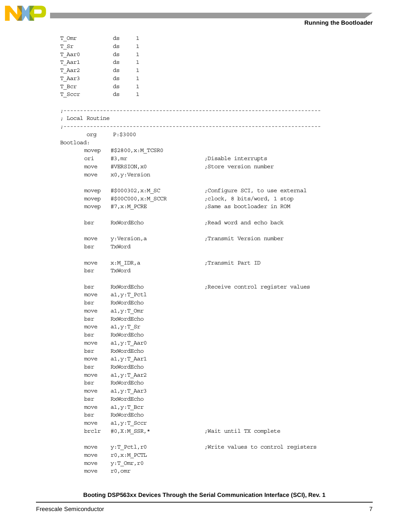**Running the Bootloader**

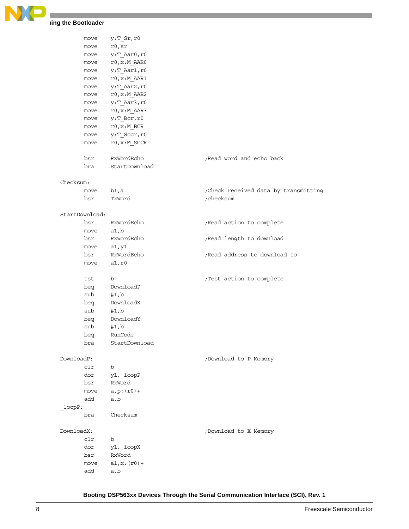```
N
                 \blacksquare
```

|            | move           | $y:T_Sr, r0$     |                                       |
|------------|----------------|------------------|---------------------------------------|
|            | move           | r0,sr            |                                       |
|            | move           | y:T Aar0, r0     |                                       |
|            | move           | $r0, x : M$ AARO |                                       |
|            | move           | y:T Aarl, r0     |                                       |
|            | move           | $r0, x:M$ AAR1   |                                       |
|            | move           | y:T Aar2, r0     |                                       |
|            | move           | $r0, x:M$ AAR2   |                                       |
|            | move           | y:T Aar3, r0     |                                       |
|            | move           | $r0, x:M$ AAR3   |                                       |
|            | move           | y:T_Bcr,r0       |                                       |
|            | move           | $r0, x:M$ BCR    |                                       |
|            | move           | y:T_Sccr,r0      |                                       |
|            | move           | $r0, x$ : M SCCR |                                       |
|            | bsr            | RxWordEcho       | Read word and echo back               |
|            | bra            | StartDownload    |                                       |
| Checksum:  |                |                  |                                       |
|            | move           | b1,a             | ; Check received data by transmitting |
|            | bsr            | TxWord           | ; checksum                            |
|            | StartDownload: |                  |                                       |
|            | bsr            | RxWordEcho       | ; Read action to complete             |
|            | move           | a1,b             |                                       |
|            | bsr            | RxWordEcho       | Read length to download;              |
|            | move           | a1, y1           |                                       |
|            | bsr            | RxWordEcho       | ; Read address to download to         |
|            | move           | a1,r0            |                                       |
|            | tst            | b                | ;Test action to complete              |
|            | beq            | DownloadP        |                                       |
|            | sub            | #1,b             |                                       |
|            | beq            | DownloadX        |                                       |
|            | sub            | #1,b             |                                       |
|            | beq            | DownloadY        |                                       |
|            | sub            | #1,b             |                                       |
|            | beq            | RunCode          |                                       |
|            | bra            | StartDownload    |                                       |
| DownloadP: |                |                  | ;Download to P Memory                 |
|            | clr            | b                |                                       |
|            | dor            | y1,_loopP        |                                       |
|            | bsr            | RxWord           |                                       |
|            | move           | $a, p: (r0) +$   |                                       |
|            | add            | a, b             |                                       |
| loopP:     | bra            | Checksum         |                                       |
|            |                |                  |                                       |
| DownloadX: |                |                  | ;Download to X Memory                 |
|            | clr            | b                |                                       |
|            | dor            | y1,_loopX        |                                       |
|            | bsr            | RxWord           |                                       |
|            | move           | $a1, x: (r0) +$  |                                       |
|            | add            | a, b             |                                       |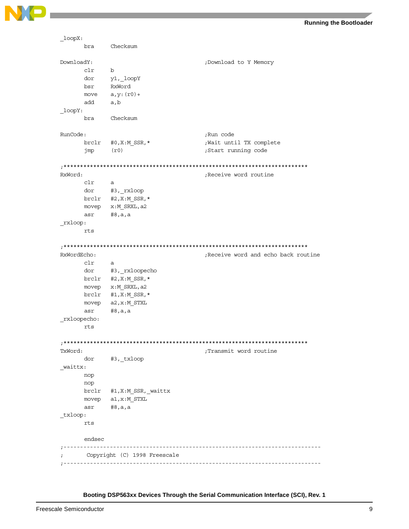**Running the Bootloader**

```
_loopX:
      bra Checksum
DownloadY: \qquad \qquad , Download to Y Memory
      clr b
      dor y1,_loopY
      bsr RxWord
      move a, y: (r0) +add a,b
_loopY:
      bra Checksum
RunCode: ;Run code
      brclr #0, X:M SSR, * ;Wait until TX complete
       jmp (r0) (r0) (r0) ;Start running code
;**************************************************************************
RxWord: \qquad \qquad Receive word routine
      clr a
      dor #3,_rxloop
      brclr #2,X:M_SSR,*
      movep x:M SRXL, a2
      asr #8,a,a
_rxloop:
      rts
;**************************************************************************
RxWordEcho: ; The contract of the contract research in the contract research in the contract research in the contract research in the contract research in the contract research in the contract research in the contract rese
      clr a
      dor #3,_rxloopecho
      brclr #2,X:M_SSR,*
      movep x:M SRXL, a2
      brclr #1,X:M_SSR,*
      movep a2,x:M_STXL
      asr #8,a,a
_rxloopecho:
      rts
;**************************************************************************
TxWord: ;Transmit word routine
      dor #3,_txloop
_waittx:
      nop
      nop
      brclr #1,X:M_SSR,_waittx
      movep a1, x:M_STXL
      asr #8,a,a
_txloop:
      rts
      endsec
;------------------------------------------------------------------------------
; Copyright (C) 1998 Freescale
;------------------------------------------------------------------------------
```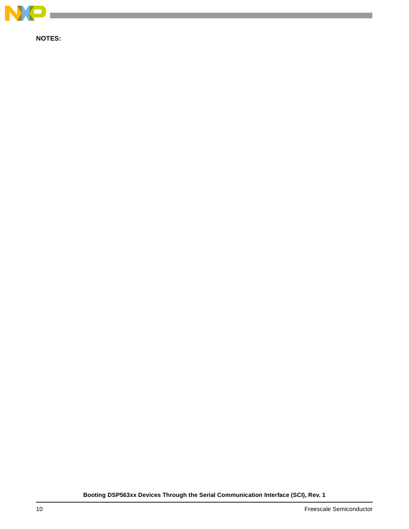

**NOTES:**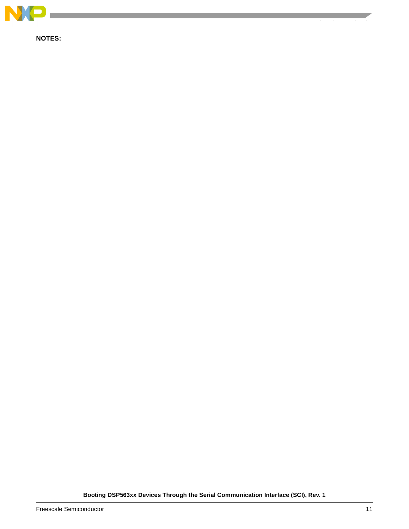

**NOTES:**